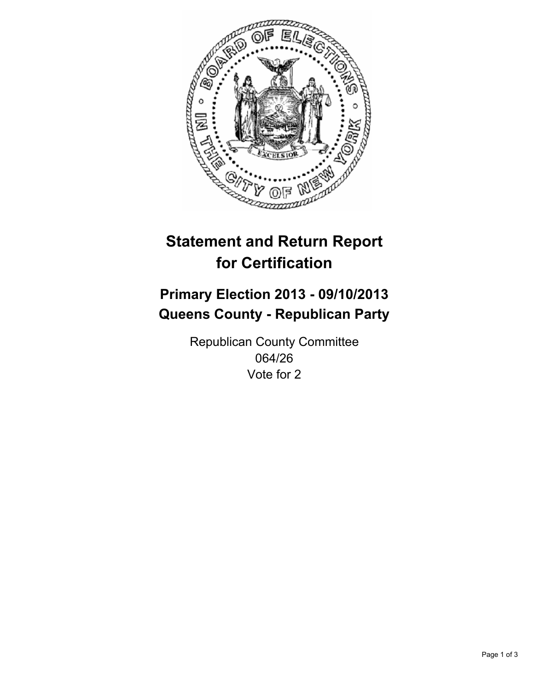

# **Statement and Return Report for Certification**

# **Primary Election 2013 - 09/10/2013 Queens County - Republican Party**

Republican County Committee 064/26 Vote for 2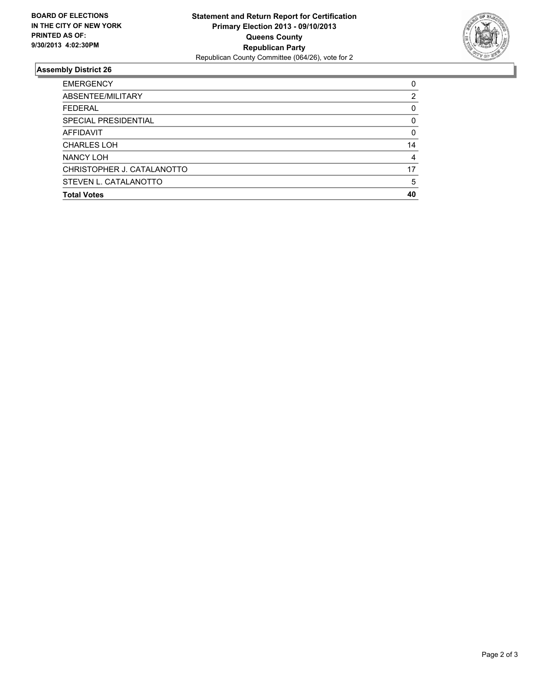

## **Assembly District 26**

| <b>EMERGENCY</b>           | 0        |
|----------------------------|----------|
| ABSENTEE/MILITARY          | 2        |
| <b>FEDERAL</b>             | 0        |
| SPECIAL PRESIDENTIAL       | 0        |
| <b>AFFIDAVIT</b>           | $\Omega$ |
| <b>CHARLES LOH</b>         | 14       |
| NANCY LOH                  | 4        |
| CHRISTOPHER J. CATALANOTTO | 17       |
| STEVEN L. CATALANOTTO      | 5        |
| <b>Total Votes</b>         | 40       |